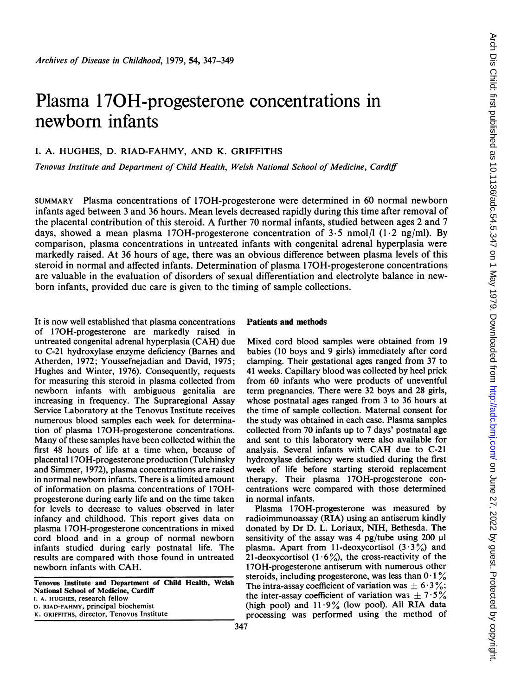# Plasma 170H-progesterone concentrations in newborn infants

# I. A. HUGHES, D. RIAD-FAHMY, AND K. GRIFFITHS

Tenovus Institute and Department of Child Health, Welsh National School of Medicine, Cardiff

SUMMARY Plasma concentrations of 170H-progesterone were determined in 60 normal newborn infants aged between <sup>3</sup> and 36 hours. Mean levels decreased rapidly during this time after removal of the placental contribution of this steroid. A further <sup>70</sup> normal infants, studied between ages <sup>2</sup> and <sup>7</sup> days, showed a mean plasma 170H-progesterone concentration of  $3.5 \text{ nmol/l}$  (1.2 ng/ml). By comparison, plasma concentrations in untreated infants with congenital adrenal hyperplasia were markedly raised. At 36 hours of age, there was an obvious difference between plasma levels of this steroid in normal and affected infants. Determination of plasma <sup>1</sup> 70H-progesterone concentrations are valuable in the evaluation of disorders of sexual differentiation and electrolyte balance in newborn infants, provided due care is given to the timing of sample collections.

It is now well established that plasma concentrations of <sup>1</sup> 70H-progesterone are markedly raised in untreated congenital adrenal hyperplasia (CAH) due to C-21 hydroxylase enzyme deficiency (Barnes and Atherden, 1972; Youssefnejadian and David, 1975; Hughes and Winter, 1976). Consequently, requests for measuring this steroid in plasma collected from newborn infants with ambiguous genitalia are increasing in frequency. The Supraregional Assay Service Laboratory at the Tenovus Institute receives numerous blood samples each week for determination of plasma 170H-progesterone concentrations. Many of these samples have been collected within the first 48 hours of life at a time when, because of placental <sup>1</sup> 70H-progesterone production (Tulchinsky and Simmer, 1972), plasma concentrations are raised in normal newborn infants. There is a limited amount of information on plasma concentrations of 170Hprogesterone during early life and on the time taken for levels to decrease to values observed in later infancy and childhood. This report gives data on plasma 170H-progesterone concentrations in mixed cord blood and in a group of normal newborn infants studied during early postnatal life. The results are compared with those found in untreated newborn infants with CAH.

Tenovus Institute and Department of Child Health, Welsh National School of Medicine, Cardiff I. A. HUGHES, research fellow D. RIAD-FAHMY, principal biochemist K. GRIFFITHS, director, Tenovus Institute

## Patients and methods

Mixed cord blood samples were obtained from 19 babies (10 boys and 9 girls) immediately after cord clamping. Their gestational ages ranged from 37 to 41 weeks. Capillary blood was collected by heel prick from 60 infants who were products of uneventful term pregnancies. There were 32 boys and 28 girls, whose postnatal ages ranged from 3 to 36 hours at the time of sample collection. Maternal consent for the study was obtained in each case. Plasma samples collected from 70 infants up to 7 days' postnatal age and sent to this laboratory were also available for analysis. Several infants with CAH due to C-21 hydroxylase deficiency were studied during the first week of life before starting steroid replacement therapy. Their plasma 170H-progesterone concentrations were compared with those determined in normal infants.

Plasma 17OH-progesterone was measured by radioimmunoassay (RIA) using an antiserum kindly donated by Dr D. L. Loriaux, NIH, Bethesda. The sensitivity of the assay was 4 pg/tube using 200  $\mu$ . plasma. Apart from 11-deoxycortisol  $(3.3\%)$  and 21-deoxycortisol (1.6%), the cross-reactivity of the 170H-progesterone antiserum with numerous other steroids, including progesterone, was less than  $0.1\%$ The intra-assay coefficient of variation was  $\pm$  6.3%; the inter-assay coefficient of variation was  $\pm 7.5\%$ (high pool) and  $11.9\%$  (low pool). All RIA data processing was performed using the method of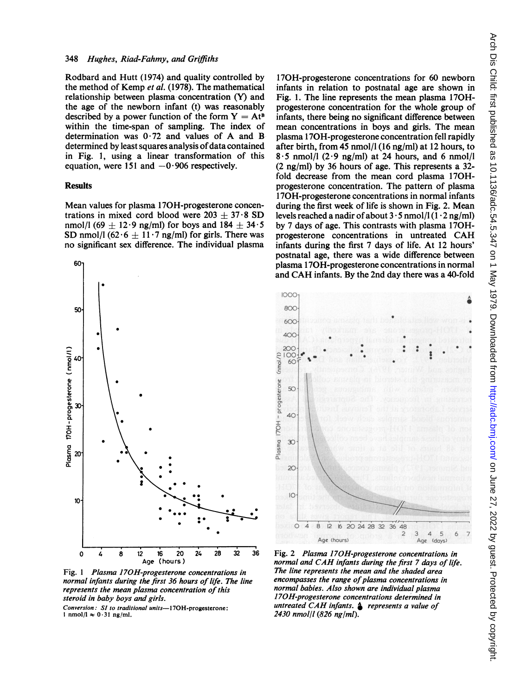Rodbard and Hutt (1974) and quality controlled by the method of Kemp et al. (1978). The mathematical relationship between plasma concentration (Y) and the age of the newborn infant (t) was reasonably described by a power function of the form  $Y = At^B$ within the time-span of sampling. The index of determination was  $0.72$  and values of A and B determined by least squares analysis of data contained in Fig. 1, using a linear transformation of this equation, were 151 and  $-0.906$  respectively.

#### Results

Mean values for plasma 17OH-progesterone concentrations in mixed cord blood were  $203 \pm 37.8$  SD nmol/l (69  $\pm$  12.9 ng/ml) for boys and 184  $\pm$  34.5 SD nmol/l  $(62.6 \pm 11.7 \text{ ng/ml})$  for girls. There was no significant sex difference. The individual plasma



Fig. <sup>1</sup> Plasma 170H-progesterone concentrations in normal infants during the first 36 hours of life. The line represents the mean plasma concentration of this steroid in baby boys and girls.

Conversion: SI to traditional units-170H-progesterone:  $1 \text{ nmol/l} \approx 0.31 \text{ ng/ml}.$ 

170H-progesterone concentrations for 60 newborn infants in relation to postnatal age are shown in Fig. 1. The line represents the mean plasma 170Hprogesterone concentration for the whole group of infants, there being no significant difference between mean concentrations in boys and girls. The mean plasma <sup>1</sup> 70H-progesterone concentration fell rapidly after birth, from 45 nmol/l (16 ng/ml) at 12 hours, to  $8.5$  nmol/l (2.9 ng/ml) at 24 hours, and 6 nmol/l (2 ng/ml) by 36 hours of age. This represents a 32 fold decrease from the mean cord plasma 170Hprogesterone concentration. The pattern of plasma <sup>1</sup> 70H-progesterone concentrations in normal infants during the first week of life is shown in Fig. 2. Mean levels reached a nadir of about  $3 \cdot 5$  nmol/l  $(1 \cdot 2 \text{ ng/ml})$ by 7 days of age. This contrasts with plasma 170Hprogesterone concentrations in untreated CAH infants during the first 7 days of life. At 12 hours' postnatal age, there was a wide difference between plasma <sup>1</sup> 70H-progesterone concentrations in normal and CAH infants. By the 2nd day there was <sup>a</sup> 40-fold



Fig. 2 Plasma 170H-progesterone concentrations in normal and CAH infants during the first <sup>7</sup> days of life. The line represents the mean and the shaded area encompasses the range of plasma concentrations in normal babies. Also shown are individual plasma 17OH-progesterone concentrations determined in untreated CAH infants.  $\triangle$  represents a value of 2430 nmol/l (826 ng/ml).